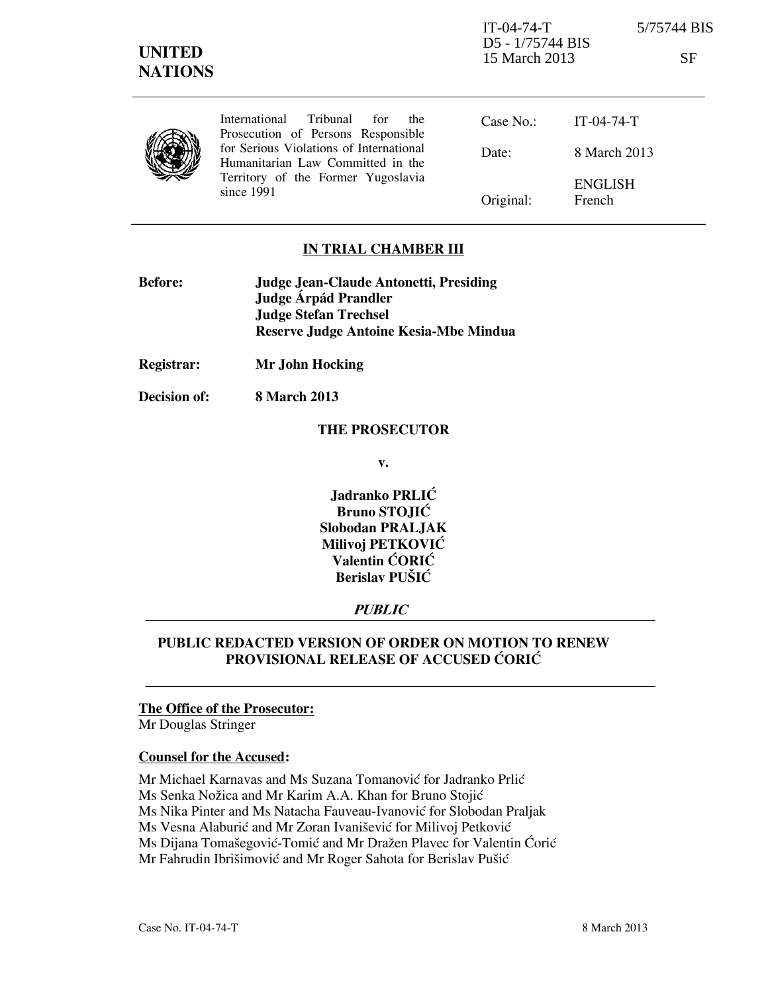Territory of the Former Yugoslavia since 1991

Original: ENGLISH French

# **IN TRIAL CHAMBER III**

| <b>Before:</b> | Judge Jean-Claude Antonetti, Presiding |
|----------------|----------------------------------------|
|                | Judge Árpád Prandler                   |
|                | <b>Judge Stefan Trechsel</b>           |
|                | Reserve Judge Antoine Kesia-Mbe Mindua |

**Registrar: Mr John Hocking** 

**Decision of: 8 March 2013** 

#### **THE PROSECUTOR**

**v.** 

**Jadranko PRLIĆ Bruno STOJIĆ Slobodan PRALJAK Milivoj PETKOVIĆ Valentin CORIC Berislav PUŠIĆ** 

# **PUBLIC**

## **PUBLIC REDACTED VERSION OF ORDER ON MOTION TO RENEW PROVISIONAL RELEASE OF ACCUSED CORIC**

#### **The Office of the Prosecutor:**

Mr Douglas Stringer

## **Counsel for the Accused:**

Mr Michael Karnavas and Ms Suzana Tomanović for Jadranko Prlić

Ms Senka Nožica and Mr Karim A.A. Khan for Bruno Stojić

Ms Nika Pinter and Ms Natacha Fauveau-Ivanović for Slobodan Praljak

Ms Vesna Alaburić and Mr Zoran Ivanišević for Milivoj Petković

Ms Dijana Tomašegović-Tomić and Mr Dražen Plavec for Valentin Ćorić

Mr Fahrudin Ibrišimović and Mr Roger Sahota for Berislav Pušić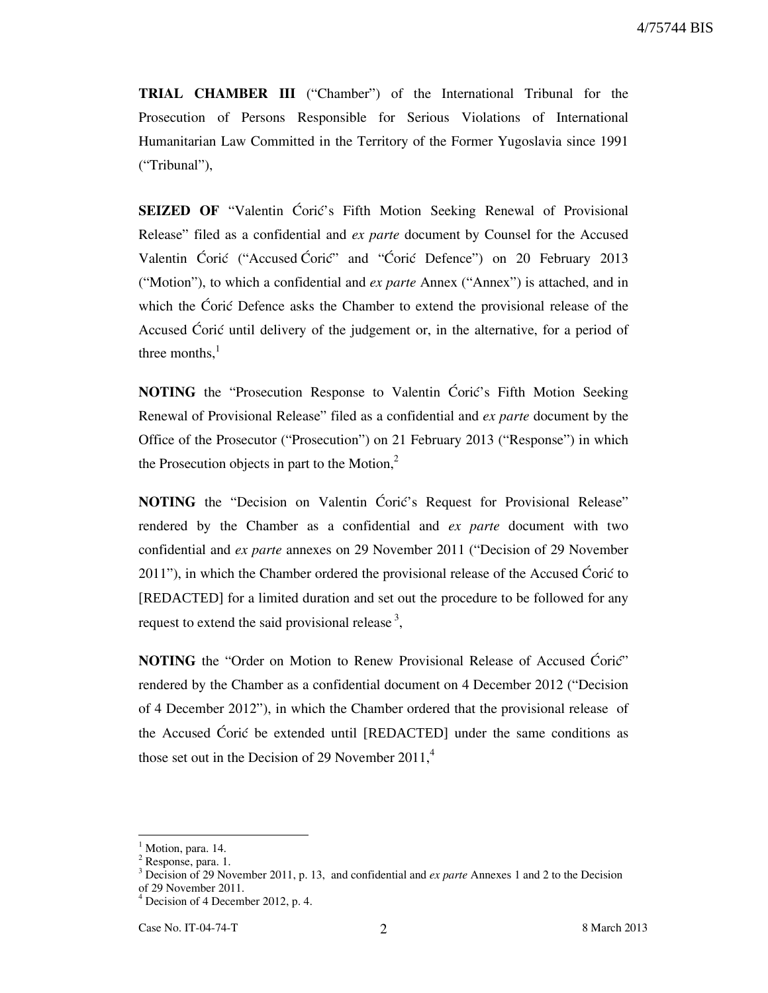4/75744 BIS

**TRIAL CHAMBER III** ("Chamber") of the International Tribunal for the Prosecution of Persons Responsible for Serious Violations of International Humanitarian Law Committed in the Territory of the Former Yugoslavia since 1991 ("Tribunal"),

**SEIZED OF** "Valentin Coric's Fifth Motion Seeking Renewal of Provisional Release" filed as a confidential and *ex parte* document by Counsel for the Accused Valentin Ćorić ("Accused Ćorić" and "Ćorić Defence") on 20 February 2013 ("Motion"), to which a confidential and *ex parte* Annex ("Annex") is attached, and in which the Coric Defence asks the Chamber to extend the provisional release of the Accused Ćorić until delivery of the judgement or, in the alternative, for a period of three months. $<sup>1</sup>$ </sup>

**NOTING** the "Prosecution Response to Valentin Ćorić's Fifth Motion Seeking Renewal of Provisional Release" filed as a confidential and *ex parte* document by the Office of the Prosecutor ("Prosecution") on 21 February 2013 ("Response") in which the Prosecution objects in part to the Motion, $2$ 

**NOTING** the "Decision on Valentin Coric's Request for Provisional Release" rendered by the Chamber as a confidential and *ex parte* document with two confidential and *ex parte* annexes on 29 November 2011 ("Decision of 29 November 2011"), in which the Chamber ordered the provisional release of the Accused Coric to [REDACTED] for a limited duration and set out the procedure to be followed for any request to extend the said provisional release  $3$ ,

**NOTING** the "Order on Motion to Renew Provisional Release of Accused Ćorić" rendered by the Chamber as a confidential document on 4 December 2012 ("Decision of 4 December 2012"), in which the Chamber ordered that the provisional release of the Accused Coric be extended until [REDACTED] under the same conditions as those set out in the Decision of 29 November  $2011<sup>4</sup>$ 

-

<sup>&</sup>lt;sup>1</sup> Motion, para. 14.

<sup>&</sup>lt;sup>2</sup> Response, para. 1.

<sup>&</sup>lt;sup>3</sup> Decision of 29 November 2011, p. 13, and confidential and *ex parte* Annexes 1 and 2 to the Decision of 29 November 2011.

<sup>4</sup> Decision of 4 December 2012, p. 4.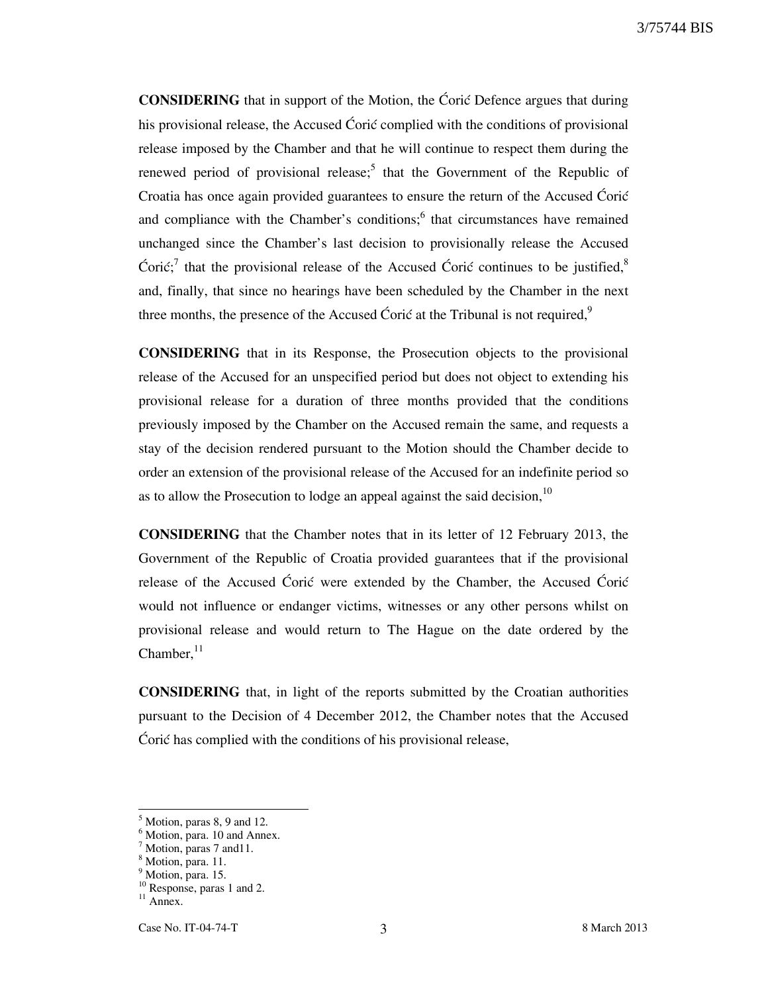**CONSIDERING** that in support of the Motion, the Ćorić Defence argues that during his provisional release, the Accused Ćorić complied with the conditions of provisional release imposed by the Chamber and that he will continue to respect them during the renewed period of provisional release;<sup>5</sup> that the Government of the Republic of Croatia has once again provided guarantees to ensure the return of the Accused Ćorić and compliance with the Chamber's conditions; $<sup>6</sup>$  that circumstances have remained</sup> unchanged since the Chamber's last decision to provisionally release the Accused Ćorić;<sup>7</sup> that the provisional release of the Accused Ćorić continues to be justified,<sup>8</sup> and, finally, that since no hearings have been scheduled by the Chamber in the next three months, the presence of the Accused Ćorić at the Tribunal is not required, $9$ 

**CONSIDERING** that in its Response, the Prosecution objects to the provisional release of the Accused for an unspecified period but does not object to extending his provisional release for a duration of three months provided that the conditions previously imposed by the Chamber on the Accused remain the same, and requests a stay of the decision rendered pursuant to the Motion should the Chamber decide to order an extension of the provisional release of the Accused for an indefinite period so as to allow the Prosecution to lodge an appeal against the said decision,  $10$ 

**CONSIDERING** that the Chamber notes that in its letter of 12 February 2013, the Government of the Republic of Croatia provided guarantees that if the provisional release of the Accused Coric were extended by the Chamber, the Accused Coric would not influence or endanger victims, witnesses or any other persons whilst on provisional release and would return to The Hague on the date ordered by the Chamber. $^{11}$ 

**CONSIDERING** that, in light of the reports submitted by the Croatian authorities pursuant to the Decision of 4 December 2012, the Chamber notes that the Accused Corić has complied with the conditions of his provisional release,

-

<sup>5</sup> Motion, paras 8, 9 and 12.

<sup>&</sup>lt;sup>6</sup> Motion, para. 10 and Annex.

<sup>&</sup>lt;sup>7</sup> Motion, paras 7 and 11.

<sup>8</sup> Motion, para. 11.

<sup>&</sup>lt;sup>9</sup> Motion, para. 15.

<sup>&</sup>lt;sup>10</sup> Response, paras 1 and 2.

 $11$  Annex.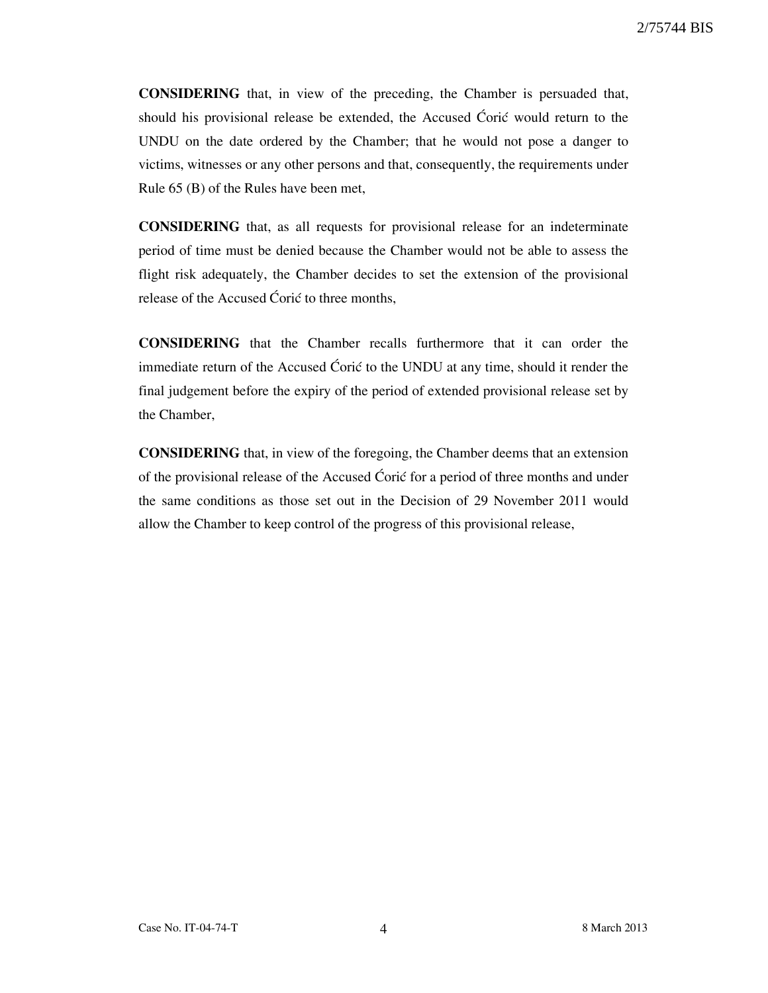**CONSIDERING** that, in view of the preceding, the Chamber is persuaded that, should his provisional release be extended, the Accused Ćorić would return to the UNDU on the date ordered by the Chamber; that he would not pose a danger to victims, witnesses or any other persons and that, consequently, the requirements under Rule 65 (B) of the Rules have been met,

**CONSIDERING** that, as all requests for provisional release for an indeterminate period of time must be denied because the Chamber would not be able to assess the flight risk adequately, the Chamber decides to set the extension of the provisional release of the Accused Coric to three months,

**CONSIDERING** that the Chamber recalls furthermore that it can order the immediate return of the Accused Coric to the UNDU at any time, should it render the final judgement before the expiry of the period of extended provisional release set by the Chamber,

**CONSIDERING** that, in view of the foregoing, the Chamber deems that an extension of the provisional release of the Accused Coric for a period of three months and under the same conditions as those set out in the Decision of 29 November 2011 would allow the Chamber to keep control of the progress of this provisional release,